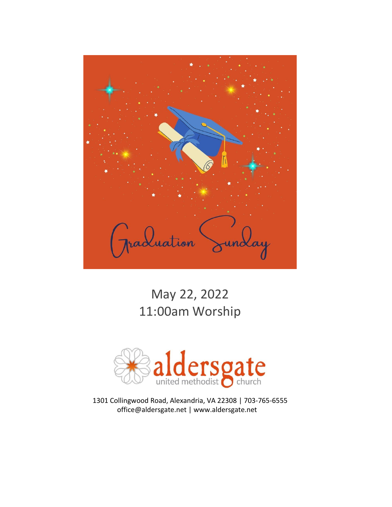

# May 22, 2022 11:00am Worship



1301 Collingwood Road, Alexandria, VA 22308 | 703-765-6555 office@aldersgate.net | www.aldersgate.net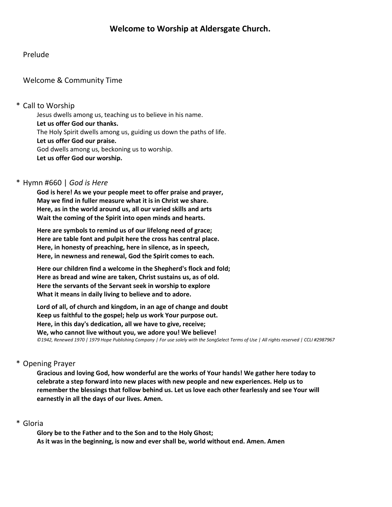## Prelude

## Welcome & Community Time

## \* Call to Worship

Jesus dwells among us, teaching us to believe in his name. **Let us offer God our thanks.** The Holy Spirit dwells among us, guiding us down the paths of life. **Let us offer God our praise.** God dwells among us, beckoning us to worship. **Let us offer God our worship.**

## \* Hymn #660 | *God is Here*

**God is here! As we your people meet to offer praise and prayer, May we find in fuller measure what it is in Christ we share. Here, as in the world around us, all our varied skills and arts Wait the coming of the Spirit into open minds and hearts.**

**Here are symbols to remind us of our lifelong need of grace; Here are table font and pulpit here the cross has central place. Here, in honesty of preaching, here in silence, as in speech, Here, in newness and renewal, God the Spirit comes to each.**

**Here our children find a welcome in the Shepherd's flock and fold; Here as bread and wine are taken, Christ sustains us, as of old. Here the servants of the Servant seek in worship to explore What it means in daily living to believe and to adore.**

**Lord of all, of church and kingdom, in an age of change and doubt Keep us faithful to the gospel; help us work Your purpose out. Here, in this day's dedication, all we have to give, receive; We, who cannot live without you, we adore you! We believe!** *©1942, Renewed 1970 | 1979 Hope Publishing Company | For use solely with the SongSelect Terms of Use | All rights reserved | CCLI #2987967*

## \* Opening Prayer

**Gracious and loving God, how wonderful are the works of Your hands! We gather here today to celebrate a step forward into new places with new people and new experiences. Help us to remember the blessings that follow behind us. Let us love each other fearlessly and see Your will earnestly in all the days of our lives. Amen.**

## \* Gloria

**Glory be to the Father and to the Son and to the Holy Ghost; As it was in the beginning, is now and ever shall be, world without end. Amen. Amen**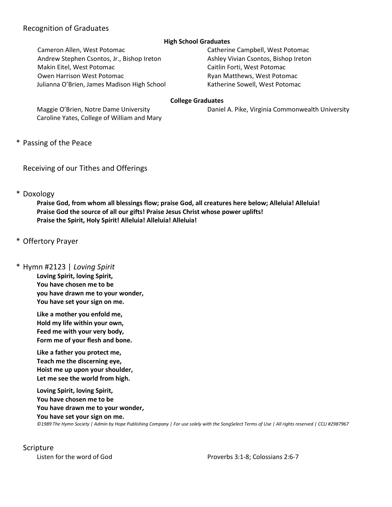## Recognition of Graduates

#### **High School Graduates**

Cameron Allen, West Potomac Catherine Campbell, West Potomac Andrew Stephen Csontos, Jr., Bishop Ireton Ashley Vivian Csontos, Bishop Ireton Makin Eitel, West Potomac Caitlin Forti, West Potomac Owen Harrison West Potomac **Ryan Matthews, West Potomac** Ryan Matthews, West Potomac Julianna O'Brien, James Madison High School Katherine Sowell, West Potomac

#### **College Graduates**

Maggie O'Brien, Notre Dame University **Daniel A. Pike, Virginia Commonwealth University** 

Caroline Yates, College of William and Mary

\* Passing of the Peace

Receiving of our Tithes and Offerings

\* Doxology

**Praise God, from whom all blessings flow; praise God, all creatures here below; Alleluia! Alleluia! Praise God the source of all our gifts! Praise Jesus Christ whose power uplifts! Praise the Spirit, Holy Spirit! Alleluia! Alleluia! Alleluia!**

- \* Offertory Prayer
- \* Hymn #2123 | *Loving Spirit*

**Loving Spirit, loving Spirit, You have chosen me to be you have drawn me to your wonder, You have set your sign on me.**

**Like a mother you enfold me, Hold my life within your own, Feed me with your very body, Form me of your flesh and bone.**

**Like a father you protect me, Teach me the discerning eye, Hoist me up upon your shoulder, Let me see the world from high.**

**Loving Spirit, loving Spirit, You have chosen me to be You have drawn me to your wonder, You have set your sign on me.** *©1989 The Hymn Society | Admin by Hope Publishing Company | For use solely with the SongSelect Terms of Use | All rights reserved | CCLI #2987967*

### Scripture